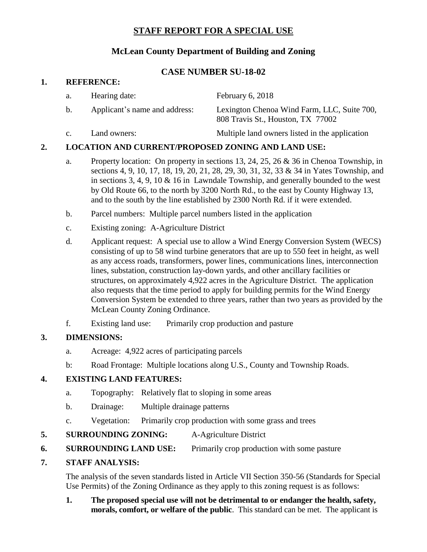# **STAFF REPORT FOR A SPECIAL USE**

## **McLean County Department of Building and Zoning**

### **CASE NUMBER SU-18-02**

#### **1. REFERENCE:**

| a.             | Hearing date:                 | February 6, 2018                                                                 |
|----------------|-------------------------------|----------------------------------------------------------------------------------|
| b.             | Applicant's name and address: | Lexington Chenoa Wind Farm, LLC, Suite 700,<br>808 Travis St., Houston, TX 77002 |
| $\mathbf{c}$ . | Land owners:                  | Multiple land owners listed in the application                                   |

### **2. LOCATION AND CURRENT/PROPOSED ZONING AND LAND USE:**

- a. Property location: On property in sections 13, 24, 25, 26 & 36 in Chenoa Township, in sections 4, 9, 10, 17, 18, 19, 20, 21, 28, 29, 30, 31, 32, 33 & 34 in Yates Township, and in sections 3, 4, 9, 10 & 16 in Lawndale Township, and generally bounded to the west by Old Route 66, to the north by [3200 North Rd.](x-apple-data-detectors://1/), to the east by County Highway 13, and to the south by the line established by [2300 North Rd.](x-apple-data-detectors://2/) if it were extended.
- b. Parcel numbers: Multiple parcel numbers listed in the application
- c. Existing zoning: A-Agriculture District
- d. Applicant request: A special use to allow a Wind Energy Conversion System (WECS) consisting of up to 58 wind turbine generators that are up to 550 feet in height, as well as any access roads, transformers, power lines, communications lines, interconnection lines, substation, construction lay-down yards, and other ancillary facilities or structures, on approximately 4,922 acres in the Agriculture District. The application also requests that the time period to apply for building permits for the Wind Energy Conversion System be extended to three years, rather than two years as provided by the McLean County Zoning Ordinance.
- f. Existing land use: Primarily crop production and pasture

### **3. DIMENSIONS:**

- a. Acreage: 4,922 acres of participating parcels
- b: Road Frontage: Multiple locations along U.S., County and Township Roads.

### **4. EXISTING LAND FEATURES:**

- a. Topography: Relatively flat to sloping in some areas
- b. Drainage: Multiple drainage patterns
- c. Vegetation: Primarily crop production with some grass and trees
- **5. SURROUNDING ZONING:** A-Agriculture District
- **6. SURROUNDING LAND USE:** Primarily crop production with some pasture

#### **7. STAFF ANALYSIS:**

The analysis of the seven standards listed in Article VII Section 350-56 (Standards for Special Use Permits) of the Zoning Ordinance as they apply to this zoning request is as follows:

### **1. The proposed special use will not be detrimental to or endanger the health, safety, morals, comfort, or welfare of the public**. This standard can be met. The applicant is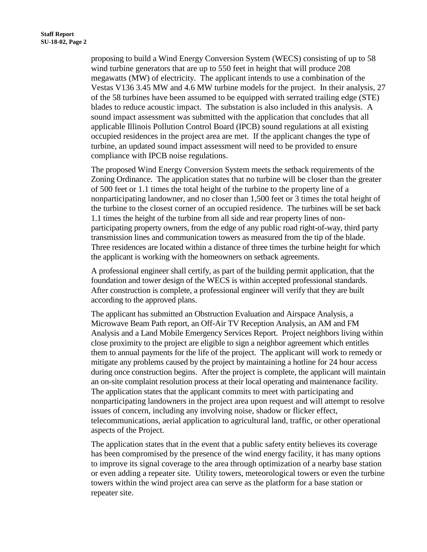proposing to build a Wind Energy Conversion System (WECS) consisting of up to 58 wind turbine generators that are up to 550 feet in height that will produce 208 megawatts (MW) of electricity. The applicant intends to use a combination of the Vestas V136 3.45 MW and 4.6 MW turbine models for the project. In their analysis, 27 of the 58 turbines have been assumed to be equipped with serrated trailing edge (STE) blades to reduce acoustic impact. The substation is also included in this analysis. A sound impact assessment was submitted with the application that concludes that all applicable Illinois Pollution Control Board (IPCB) sound regulations at all existing occupied residences in the project area are met. If the applicant changes the type of turbine, an updated sound impact assessment will need to be provided to ensure compliance with IPCB noise regulations.

The proposed Wind Energy Conversion System meets the setback requirements of the Zoning Ordinance. The application states that no turbine will be closer than the greater of 500 feet or 1.1 times the total height of the turbine to the property line of a nonparticipating landowner, and no closer than 1,500 feet or 3 times the total height of the turbine to the closest corner of an occupied residence. The turbines will be set back 1.1 times the height of the turbine from all side and rear property lines of nonparticipating property owners, from the edge of any public road right-of-way, third party transmission lines and communication towers as measured from the tip of the blade. Three residences are located within a distance of three times the turbine height for which the applicant is working with the homeowners on setback agreements.

A professional engineer shall certify, as part of the building permit application, that the foundation and tower design of the WECS is within accepted professional standards. After construction is complete, a professional engineer will verify that they are built according to the approved plans.

The applicant has submitted an Obstruction Evaluation and Airspace Analysis, a Microwave Beam Path report, an Off-Air TV Reception Analysis, an AM and FM Analysis and a Land Mobile Emergency Services Report. Project neighbors living within close proximity to the project are eligible to sign a neighbor agreement which entitles them to annual payments for the life of the project. The applicant will work to remedy or mitigate any problems caused by the project by maintaining a hotline for 24 hour access during once construction begins. After the project is complete, the applicant will maintain an on-site complaint resolution process at their local operating and maintenance facility. The application states that the applicant commits to meet with participating and nonparticipating landowners in the project area upon request and will attempt to resolve issues of concern, including any involving noise, shadow or flicker effect, telecommunications, aerial application to agricultural land, traffic, or other operational aspects of the Project.

The application states that in the event that a public safety entity believes its coverage has been compromised by the presence of the wind energy facility, it has many options to improve its signal coverage to the area through optimization of a nearby base station or even adding a repeater site. Utility towers, meteorological towers or even the turbine towers within the wind project area can serve as the platform for a base station or repeater site.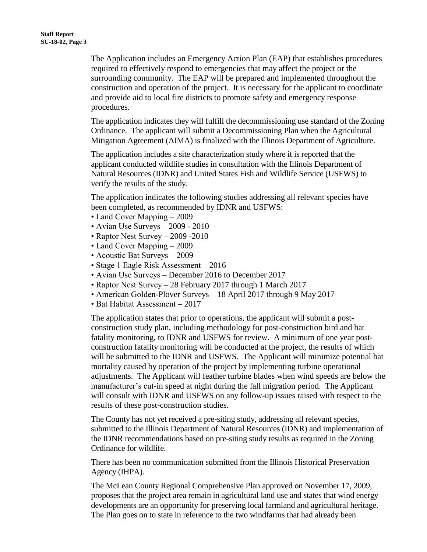The Application includes an Emergency Action Plan (EAP) that establishes procedures required to effectively respond to emergencies that may affect the project or the surrounding community. The EAP will be prepared and implemented throughout the construction and operation of the project. It is necessary for the applicant to coordinate and provide aid to local fire districts to promote safety and emergency response procedures.

The application indicates they will fulfill the decommissioning use standard of the Zoning Ordinance. The applicant will submit a Decommissioning Plan when the Agricultural Mitigation Agreement (AIMA) is finalized with the Illinois Department of Agriculture.

The application includes a site characterization study where it is reported that the applicant conducted wildlife studies in consultation with the Illinois Department of Natural Resources (IDNR) and United States Fish and Wildlife Service (USFWS) to verify the results of the study.

The application indicates the following studies addressing all relevant species have been completed, as recommended by IDNR and USFWS:

- Land Cover Mapping 2009
- Avian Use Surveys 2009 2010
- Raptor Nest Survey 2009 -2010
- Land Cover Mapping 2009
- Acoustic Bat Surveys 2009
- Stage 1 Eagle Risk Assessment 2016
- Avian Use Surveys December 2016 to December 2017
- Raptor Nest Survey 28 February 2017 through 1 March 2017
- American Golden-Plover Surveys 18 April 2017 through 9 May 2017
- Bat Habitat Assessment 2017

The application states that prior to operations, the applicant will submit a postconstruction study plan, including methodology for post-construction bird and bat fatality monitoring, to IDNR and USFWS for review. A minimum of one year postconstruction fatality monitoring will be conducted at the project, the results of which will be submitted to the IDNR and USFWS. The Applicant will minimize potential bat mortality caused by operation of the project by implementing turbine operational adjustments. The Applicant will feather turbine blades when wind speeds are below the manufacturer's cut-in speed at night during the fall migration period. The Applicant will consult with IDNR and USFWS on any follow-up issues raised with respect to the results of these post-construction studies.

The County has not yet received a pre-siting study, addressing all relevant species, submitted to the Illinois Department of Natural Resources (IDNR) and implementation of the IDNR recommendations based on pre-siting study results as required in the Zoning Ordinance for wildlife.

There has been no communication submitted from the Illinois Historical Preservation Agency (IHPA).

The McLean County Regional Comprehensive Plan approved on November 17, 2009, proposes that the project area remain in agricultural land use and states that wind energy developments are an opportunity for preserving local farmland and agricultural heritage. The Plan goes on to state in reference to the two windfarms that had already been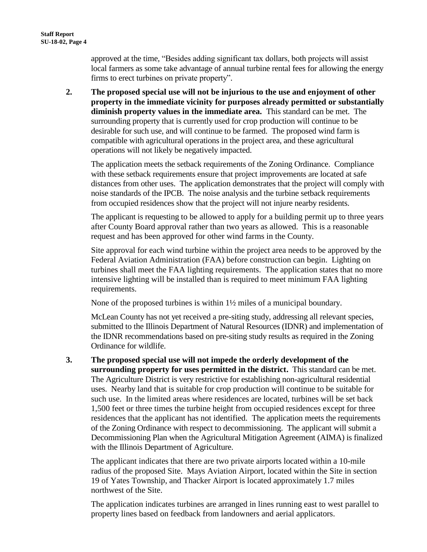approved at the time, "Besides adding significant tax dollars, both projects will assist local farmers as some take advantage of annual turbine rental fees for allowing the energy firms to erect turbines on private property".

**2. The proposed special use will not be injurious to the use and enjoyment of other property in the immediate vicinity for purposes already permitted or substantially diminish property values in the immediate area.** This standard can be met. The surrounding property that is currently used for crop production will continue to be desirable for such use, and will continue to be farmed. The proposed wind farm is compatible with agricultural operations in the project area, and these agricultural operations will not likely be negatively impacted.

The application meets the setback requirements of the Zoning Ordinance. Compliance with these setback requirements ensure that project improvements are located at safe distances from other uses. The application demonstrates that the project will comply with noise standards of the IPCB. The noise analysis and the turbine setback requirements from occupied residences show that the project will not injure nearby residents.

The applicant is requesting to be allowed to apply for a building permit up to three years after County Board approval rather than two years as allowed. This is a reasonable request and has been approved for other wind farms in the County.

Site approval for each wind turbine within the project area needs to be approved by the Federal Aviation Administration (FAA) before construction can begin. Lighting on turbines shall meet the FAA lighting requirements. The application states that no more intensive lighting will be installed than is required to meet minimum FAA lighting requirements.

None of the proposed turbines is within 1½ miles of a municipal boundary.

McLean County has not yet received a pre-siting study, addressing all relevant species, submitted to the Illinois Department of Natural Resources (IDNR) and implementation of the IDNR recommendations based on pre-siting study results as required in the Zoning Ordinance for wildlife.

**3. The proposed special use will not impede the orderly development of the surrounding property for uses permitted in the district.** This standard can be met. The Agriculture District is very restrictive for establishing non-agricultural residential uses. Nearby land that is suitable for crop production will continue to be suitable for such use. In the limited areas where residences are located, turbines will be set back 1,500 feet or three times the turbine height from occupied residences except for three residences that the applicant has not identified. The application meets the requirements of the Zoning Ordinance with respect to decommissioning. The applicant will submit a Decommissioning Plan when the Agricultural Mitigation Agreement (AIMA) is finalized with the Illinois Department of Agriculture.

The applicant indicates that there are two private airports located within a 10-mile radius of the proposed Site. Mays Aviation Airport, located within the Site in section 19 of Yates Township, and Thacker Airport is located approximately 1.7 miles northwest of the Site.

The application indicates turbines are arranged in lines running east to west parallel to property lines based on feedback from landowners and aerial applicators.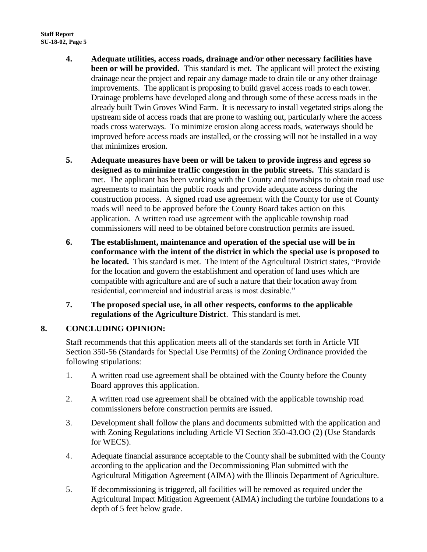- **4. Adequate utilities, access roads, drainage and/or other necessary facilities have been or will be provided.** This standard is met. The applicant will protect the existing drainage near the project and repair any damage made to drain tile or any other drainage improvements. The applicant is proposing to build gravel access roads to each tower. Drainage problems have developed along and through some of these access roads in the already built Twin Groves Wind Farm. It is necessary to install vegetated strips along the upstream side of access roads that are prone to washing out, particularly where the access roads cross waterways. To minimize erosion along access roads, waterways should be improved before access roads are installed, or the crossing will not be installed in a way that minimizes erosion.
- **5. Adequate measures have been or will be taken to provide ingress and egress so designed as to minimize traffic congestion in the public streets.** This standard is met. The applicant has been working with the County and townships to obtain road use agreements to maintain the public roads and provide adequate access during the construction process. A signed road use agreement with the County for use of County roads will need to be approved before the County Board takes action on this application. A written road use agreement with the applicable township road commissioners will need to be obtained before construction permits are issued.
- **6. The establishment, maintenance and operation of the special use will be in conformance with the intent of the district in which the special use is proposed to be located.** This standard is met. The intent of the Agricultural District states, "Provide for the location and govern the establishment and operation of land uses which are compatible with agriculture and are of such a nature that their location away from residential, commercial and industrial areas is most desirable."
- **7. The proposed special use, in all other respects, conforms to the applicable regulations of the Agriculture District**. This standard is met.

## **8. CONCLUDING OPINION:**

Staff recommends that this application meets all of the standards set forth in Article VII Section 350-56 (Standards for Special Use Permits) of the Zoning Ordinance provided the following stipulations:

- 1. A written road use agreement shall be obtained with the County before the County Board approves this application.
- 2. A written road use agreement shall be obtained with the applicable township road commissioners before construction permits are issued.
- 3. Development shall follow the plans and documents submitted with the application and with Zoning Regulations including Article VI Section 350-43.OO (2) (Use Standards for WECS).
- 4. Adequate financial assurance acceptable to the County shall be submitted with the County according to the application and the Decommissioning Plan submitted with the Agricultural Mitigation Agreement (AIMA) with the Illinois Department of Agriculture.
- 5. If decommissioning is triggered, all facilities will be removed as required under the Agricultural Impact Mitigation Agreement (AIMA) including the turbine foundations to a depth of 5 feet below grade.